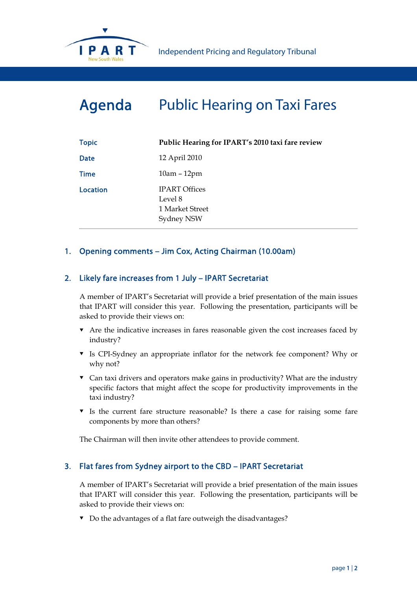

# Agenda Public Hearing on Taxi Fares

| <b>Topic</b> | Public Hearing for IPART's 2010 taxi fare review                 |
|--------------|------------------------------------------------------------------|
| <b>Date</b>  | 12 April 2010                                                    |
| <b>Time</b>  | $10am - 12pm$                                                    |
| Location     | <b>IPART Offices</b><br>Level 8<br>1 Market Street<br>Sydney NSW |

# 1. Opening comments – Jim Cox, Acting Chairman (10.00am)

# 2. Likely fare increases from 1 July – IPART Secretariat

A member of IPART's Secretariat will provide a brief presentation of the main issues that IPART will consider this year. Following the presentation, participants will be asked to provide their views on:

- Are the indicative increases in fares reasonable given the cost increases faced by industry?
- Is CPI-Sydney an appropriate inflator for the network fee component? Why or why not?
- Can taxi drivers and operators make gains in productivity? What are the industry specific factors that might affect the scope for productivity improvements in the taxi industry?
- $\bullet$  Is the current fare structure reasonable? Is there a case for raising some fare components by more than others?

The Chairman will then invite other attendees to provide comment.

### 3. Flat fares from Sydney airport to the CBD – IPART Secretariat

A member of IPART's Secretariat will provide a brief presentation of the main issues that IPART will consider this year. Following the presentation, participants will be asked to provide their views on:

Do the advantages of a flat fare outweigh the disadvantages?